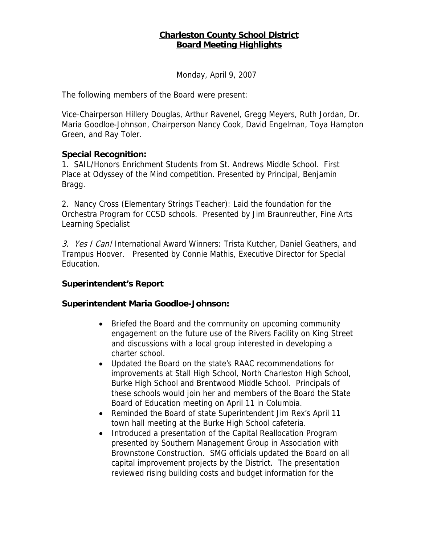## **Charleston County School District Board Meeting Highlights**

Monday, April 9, 2007

The following members of the Board were present:

Vice-Chairperson Hillery Douglas, Arthur Ravenel, Gregg Meyers, Ruth Jordan, Dr. Maria Goodloe-Johnson, Chairperson Nancy Cook, David Engelman, Toya Hampton Green, and Ray Toler.

### **Special Recognition:**

1. SAIL/Honors Enrichment Students from St. Andrews Middle School. First Place at Odyssey of the Mind competition. Presented by Principal, Benjamin Bragg.

2. Nancy Cross (Elementary Strings Teacher): Laid the foundation for the Orchestra Program for CCSD schools. Presented by Jim Braunreuther, Fine Arts Learning Specialist

3. Yes I Can! International Award Winners: Trista Kutcher, Daniel Geathers, and Trampus Hoover. Presented by Connie Mathis, Executive Director for Special Education.

### **Superintendent's Report**

### **Superintendent Maria Goodloe-Johnson:**

- Briefed the Board and the community on upcoming community engagement on the future use of the Rivers Facility on King Street and discussions with a local group interested in developing a charter school.
- Updated the Board on the state's RAAC recommendations for improvements at Stall High School, North Charleston High School, Burke High School and Brentwood Middle School. Principals of these schools would join her and members of the Board the State Board of Education meeting on April 11 in Columbia.
- Reminded the Board of state Superintendent Jim Rex's April 11 town hall meeting at the Burke High School cafeteria.
- Introduced a presentation of the Capital Reallocation Program presented by Southern Management Group in Association with Brownstone Construction. SMG officials updated the Board on all capital improvement projects by the District. The presentation reviewed rising building costs and budget information for the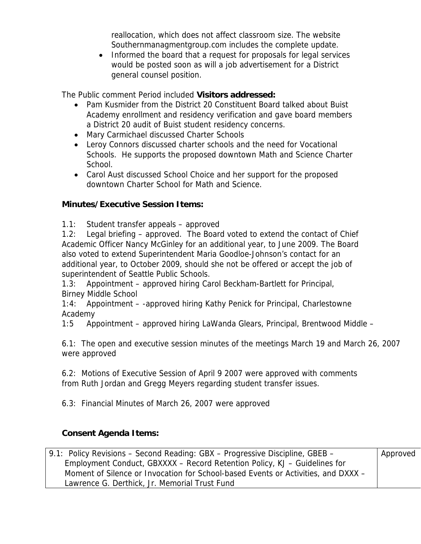reallocation, which does not affect classroom size. The website Southernmanagmentgroup.com includes the complete update.

• Informed the board that a request for proposals for legal services would be posted soon as will a job advertisement for a District general counsel position.

The Public comment Period included **Visitors addressed:** 

- Pam Kusmider from the District 20 Constituent Board talked about Buist Academy enrollment and residency verification and gave board members a District 20 audit of Buist student residency concerns.
- Mary Carmichael discussed Charter Schools
- Leroy Connors discussed charter schools and the need for Vocational Schools. He supports the proposed downtown Math and Science Charter School.
- Carol Aust discussed School Choice and her support for the proposed downtown Charter School for Math and Science.

# **Minutes/Executive Session Items:**

1.1: Student transfer appeals – approved

1.2: Legal briefing – approved. The Board voted to extend the contact of Chief Academic Officer Nancy McGinley for an additional year, to June 2009. The Board also voted to extend Superintendent Maria Goodloe-Johnson's contact for an additional year, to October 2009, should she not be offered or accept the job of superintendent of Seattle Public Schools.

1.3: Appointment – approved hiring Carol Beckham-Bartlett for Principal, Birney Middle School

1:4: Appointment – -approved hiring Kathy Penick for Principal, Charlestowne Academy

1:5 Appointment – approved hiring LaWanda Glears, Principal, Brentwood Middle –

6.1: The open and executive session minutes of the meetings March 19 and March 26, 2007 were approved

6.2: Motions of Executive Session of April 9 2007 were approved with comments from Ruth Jordan and Gregg Meyers regarding student transfer issues.

6.3: Financial Minutes of March 26, 2007 were approved

# **Consent Agenda Items:**

| 9.1: Policy Revisions – Second Reading: GBX – Progressive Discipline, GBEB –      | Approved |
|-----------------------------------------------------------------------------------|----------|
| Employment Conduct, GBXXXX – Record Retention Policy, KJ – Guidelines for         |          |
| Moment of Silence or Invocation for School-based Events or Activities, and DXXX – |          |
| Lawrence G. Derthick, Jr. Memorial Trust Fund                                     |          |